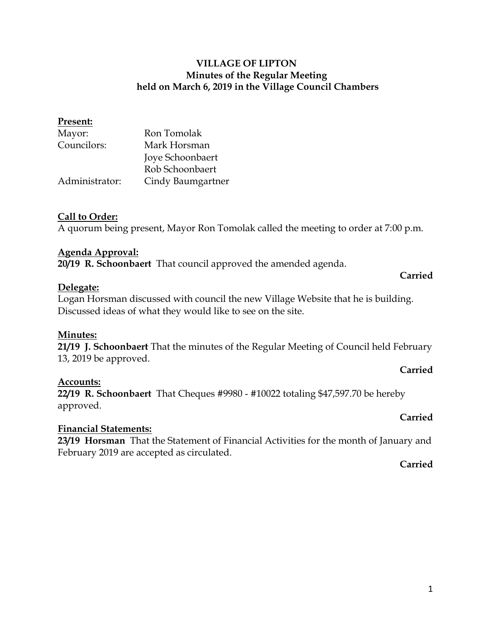### **VILLAGE OF LIPTON Minutes of the Regular Meeting held on March 6, 2019 in the Village Council Chambers**

# **Present:** Mayor: Ron Tomolak Councilors: Mark Horsman Joye Schoonbaert Rob Schoonbaert Administrator: Cindy Baumgartner

### **Call to Order:**

A quorum being present, Mayor Ron Tomolak called the meeting to order at 7:00 p.m.

#### **Agenda Approval:**

**20/19 R. Schoonbaert** That council approved the amended agenda.

### **Delegate:**

Logan Horsman discussed with council the new Village Website that he is building. Discussed ideas of what they would like to see on the site.

#### **Minutes:**

**21/19 J. Schoonbaert** That the minutes of the Regular Meeting of Council held February 13, 2019 be approved.

#### **Accounts:**

**22/19 R. Schoonbaert** That Cheques #9980 - #10022 totaling \$47,597.70 be hereby approved.

#### **Financial Statements:**

**23/19 Horsman** That the Statement of Financial Activities for the month of January and February 2019 are accepted as circulated.

#### **Carried**

**Carried**

**Carried**

**Carried**